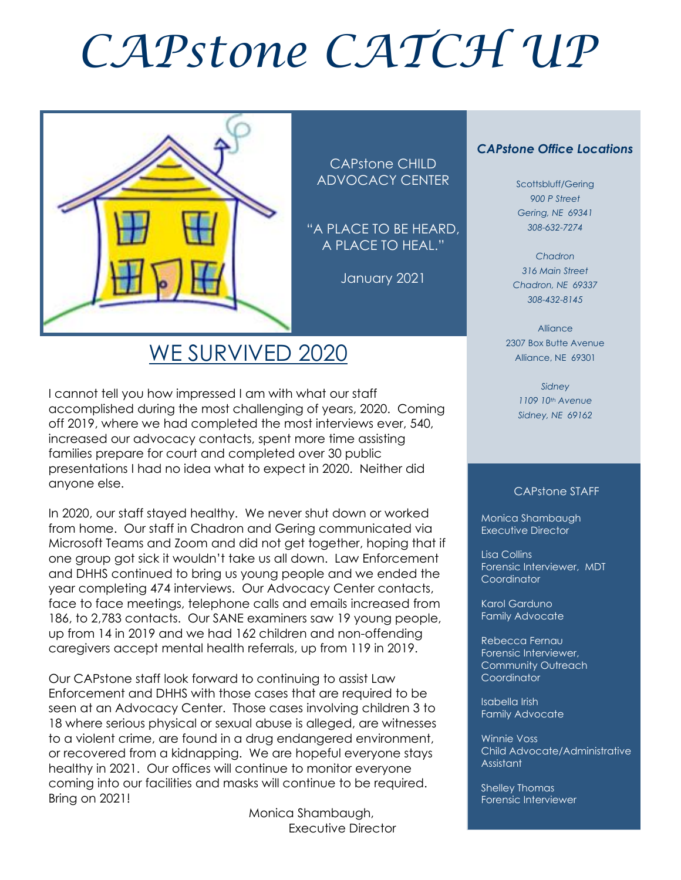# *CAPstone CATCH UP*



CAPstone CHILD ADVOCACY CENTER

"A PLACE TO BE HEARD, A PLACE TO HEAL."

January 2021

## WE SURVIVED 2020

I cannot tell you how impressed I am with what our staff accomplished during the most challenging of years, 2020. Coming off 2019, where we had completed the most interviews ever, 540, increased our advocacy contacts, spent more time assisting families prepare for court and completed over 30 public presentations I had no idea what to expect in 2020. Neither did anyone else.

In 2020, our staff stayed healthy. We never shut down or worked from home. Our staff in Chadron and Gering communicated via Microsoft Teams and Zoom and did not get together, hoping that if one group got sick it wouldn't take us all down. Law Enforcement and DHHS continued to bring us young people and we ended the year completing 474 interviews. Our Advocacy Center contacts, face to face meetings, telephone calls and emails increased from 186, to 2,783 contacts. Our SANE examiners saw 19 young people, up from 14 in 2019 and we had 162 children and non-offending caregivers accept mental health referrals, up from 119 in 2019.

Our CAPstone staff look forward to continuing to assist Law Enforcement and DHHS with those cases that are required to be seen at an Advocacy Center. Those cases involving children 3 to 18 where serious physical or sexual abuse is alleged, are witnesses to a violent crime, are found in a drug endangered environment, or recovered from a kidnapping. We are hopeful everyone stays healthy in 2021. Our offices will continue to monitor everyone coming into our facilities and masks will continue to be required. Bring on 2021!

> Monica Shambaugh, Executive Director

#### *CAPstone Office Locations*

Scottsbluff/Gering *900 P Street Gering, NE 69341 308-632-7274*

*Chadron 316 Main Street Chadron, NE 69337 308-432-8145*

Alliance 2307 Box Butte Avenue Alliance, NE 69301

> *Sidney 1109 10th Avenue Sidney, NE 69162*

#### CAPstone STAFF

Monica Shambaugh Executive Director

I

Lisa Collins Forensic Interviewer, MDT **Coordinator** 

Karol Garduno Family Advocate

Rebecca Fernau Forensic Interviewer, Community Outreach Coordinator

Isabella Irish Family Advocate

Winnie Voss Child Advocate/Administrative Assistant

Shelley Thomas Forensic Interviewer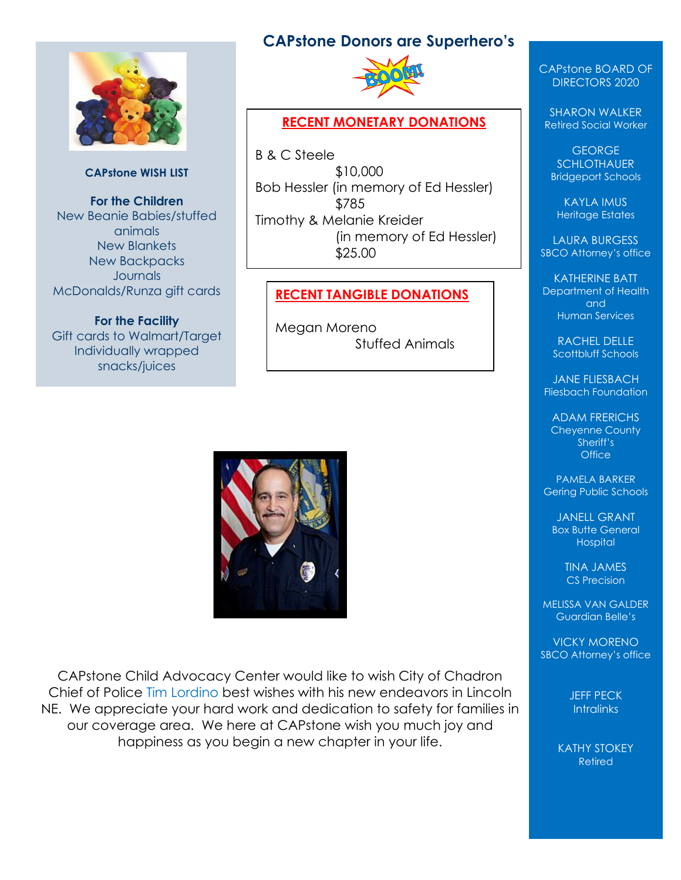

#### **CAPstone WISH LIST**

**For the Children** New Beanie Babies/stuffed animals New Blankets New Backpacks **Journals** McDonalds/Runza gift cards

**For the Facility** Gift cards to Walmart/Target Individually wrapped snacks/juices

#### **CAPstone Donors are Superhero's**



#### **RECENT MONETARY DONATIONS**

B & C Steele \$10,000 Bob Hessler (in memory of Ed Hessler) \$785 Timothy & Melanie Kreider (in memory of Ed Hessler) \$25.00

#### **RECENT TANGIBLE DONATIONS**

Megan Moreno Stuffed Animals



CAPstone Child Advocacy Center would like to wish City of Chadron Chief of Police Tim Lordino best wishes with his new endeavors in Lincoln NE. We appreciate your hard work and dedication to safety for families in our coverage area. We here at CAPstone wish you much joy and happiness as you begin a new chapter in your life.

CAPstone BOARD OF DIRECTORS 2020

SHARON WALKER Retired Social Worker

GEORGE **SCHLOTHAUER** Bridgeport Schools

KAYLA IMUS Heritage Estates

LAURA BURGESS SBCO Attorney's office

KATHERINE BATT Department of Health and Human Services

RACHEL DELLE Scottbluff Schools

JANE FLIESBACH Fliesbach Foundation

ADAM FRERICHS Cheyenne County Sheriff's **Office** 

PAMELA BARKER Gering Public Schools

JANELL GRANT Box Butte General **Hospital** 

> TINA JAMES CS Precision

MELISSA VAN GALDER Guardian Belle's

VICKY MORENO SBCO Attorney's office

> JEFF PECK **Intralinks**

KATHY STOKEY Retired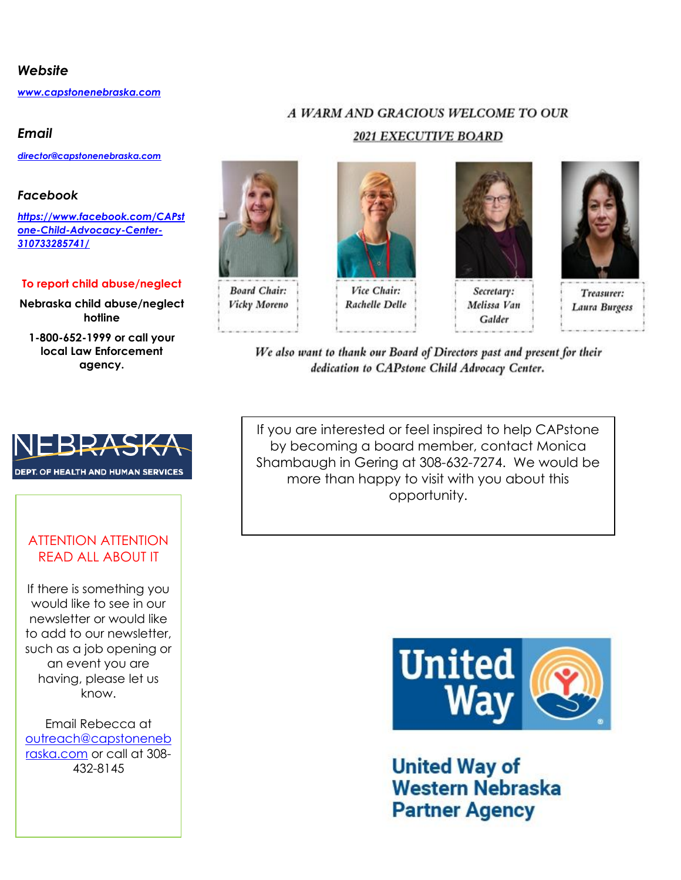#### *Website*

*[www.capstonenebraska.com](http://www.capstonenebraska.com/)*

#### *Email*

*[director@capstonenebraska.com](mailto:director@capstonenebraska.com)*

#### *Facebook*

*[https://www.facebook.com/CAPst](https://www.facebook.com/CAPstone-Child-Advocacy-Center-310733285741/) [one-Child-Advocacy-Center-](https://www.facebook.com/CAPstone-Child-Advocacy-Center-310733285741/)[310733285741/](https://www.facebook.com/CAPstone-Child-Advocacy-Center-310733285741/)*

#### **To report child abuse/neglect**

**Nebraska child abuse/neglect hotline**

**1-800-652-1999 or call your local Law Enforcement agency.**



Vicky Moreno

# **2021 EXECUTIVE BOARD**

Vice Chair:

**Rachelle Delle** 

A WARM AND GRACIOUS WELCOME TO OUR



Secretary: Melissa Van Galder



Treasurer: Laura Burgess

We also want to thank our Board of Directors past and present for their dedication to CAPstone Child Advocacy Center.

If you are interested or feel inspired to help CAPstone by becoming a board member, contact Monica Shambaugh in Gering at 308-632-7274. We would be more than happy to visit with you about this opportunity.



**United Way of Western Nebraska Partner Agency** 



#### ATTENTION ATTENTION READ ALL ABOUT IT

If there is something you would like to see in our newsletter or would like to add to our newsletter, such as a job opening or an event you are having, please let us know.

Email Rebecca at [outreach@capstoneneb](mailto:outreach@capstonenebraska.com) [raska.com](mailto:outreach@capstonenebraska.com) or call at 308- 432-8145

Page 2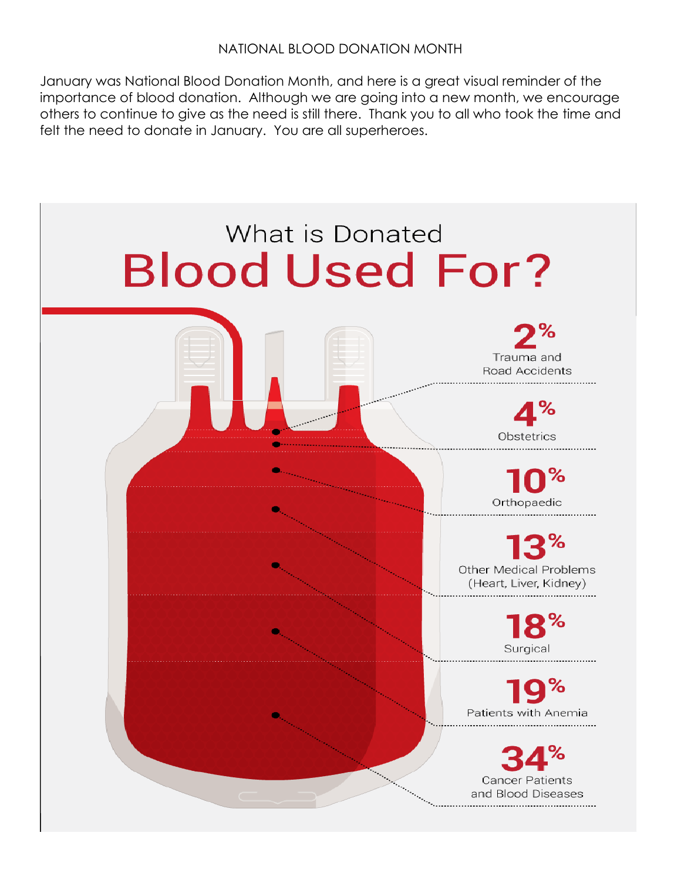#### NATIONAL BLOOD DONATION MONTH

January was National Blood Donation Month, and here is a great visual reminder of the importance of blood donation. Although we are going into a new month, we encourage others to continue to give as the need is still there. Thank you to all who took the time and felt the need to donate in January. You are all superheroes.

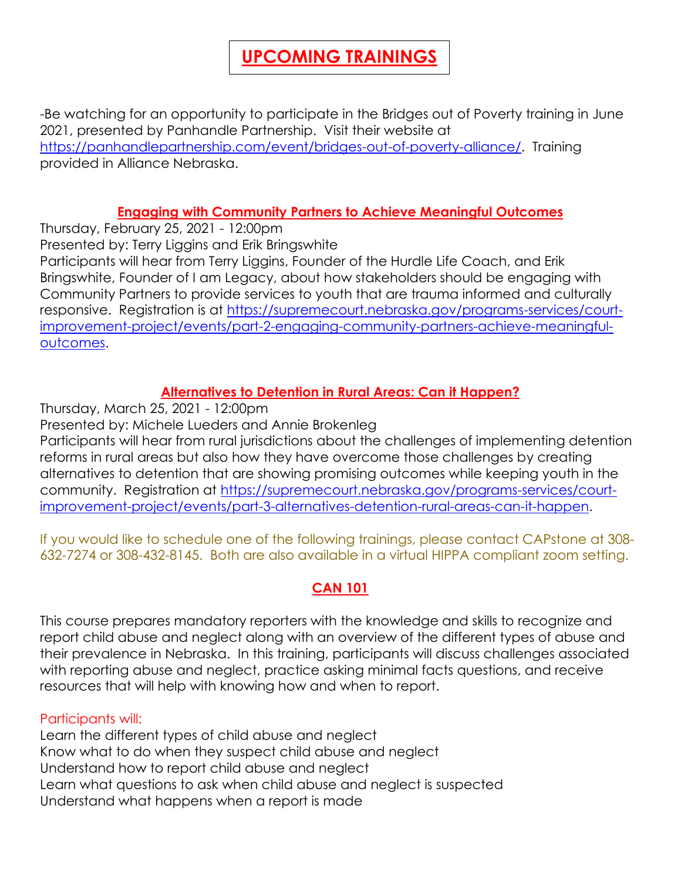## **UPCOMING TRAININGS**

-Be watching for an opportunity to participate in the Bridges out of Poverty training in June 2021, presented by Panhandle Partnership. Visit their website at [https://panhandlepartnership.com/event/bridges-out-of-poverty-alliance/.](https://panhandlepartnership.com/event/bridges-out-of-poverty-alliance/) Training provided in Alliance Nebraska.

#### **Engaging with Community Partners to Achieve Meaningful Outcomes**

Thursday, February 25, 2021 - 12:00pm Presented by: Terry Liggins and Erik Bringswhite Participants will hear from Terry Liggins, Founder of the Hurdle Life Coach, and Erik Bringswhite, Founder of I am Legacy, about how stakeholders should be engaging with Community Partners to provide services to youth that are trauma informed and culturally responsive. Registration is at [https://supremecourt.nebraska.gov/programs-services/court](https://supremecourt.nebraska.gov/programs-services/court-improvement-project/events/part-2-engaging-community-partners-achieve-meaningful-outcomes)[improvement-project/events/part-2-engaging-community-partners-achieve-meaningful](https://supremecourt.nebraska.gov/programs-services/court-improvement-project/events/part-2-engaging-community-partners-achieve-meaningful-outcomes)[outcomes.](https://supremecourt.nebraska.gov/programs-services/court-improvement-project/events/part-2-engaging-community-partners-achieve-meaningful-outcomes)

#### **Alternatives to Detention in Rural Areas: Can it Happen?**

Thursday, March 25, 2021 - 12:00pm

Presented by: Michele Lueders and Annie Brokenleg

Participants will hear from rural jurisdictions about the challenges of implementing detention reforms in rural areas but also how they have overcome those challenges by creating alternatives to detention that are showing promising outcomes while keeping youth in the community. Registration at [https://supremecourt.nebraska.gov/programs-services/court](https://supremecourt.nebraska.gov/programs-services/court-improvement-project/events/part-3-alternatives-detention-rural-areas-can-it-happen)[improvement-project/events/part-3-alternatives-detention-rural-areas-can-it-happen.](https://supremecourt.nebraska.gov/programs-services/court-improvement-project/events/part-3-alternatives-detention-rural-areas-can-it-happen)

If you would like to schedule one of the following trainings, please contact CAPstone at 308- 632-7274 or 308-432-8145. Both are also available in a virtual HIPPA compliant zoom setting.

#### **CAN 101**

This course prepares mandatory reporters with the knowledge and skills to recognize and report child abuse and neglect along with an overview of the different types of abuse and their prevalence in Nebraska. In this training, participants will discuss challenges associated with reporting abuse and neglect, practice asking minimal facts questions, and receive resources that will help with knowing how and when to report.

#### Participants will:

Learn the different types of child abuse and neglect Know what to do when they suspect child abuse and neglect Understand how to report child abuse and neglect Learn what questions to ask when child abuse and neglect is suspected Understand what happens when a report is made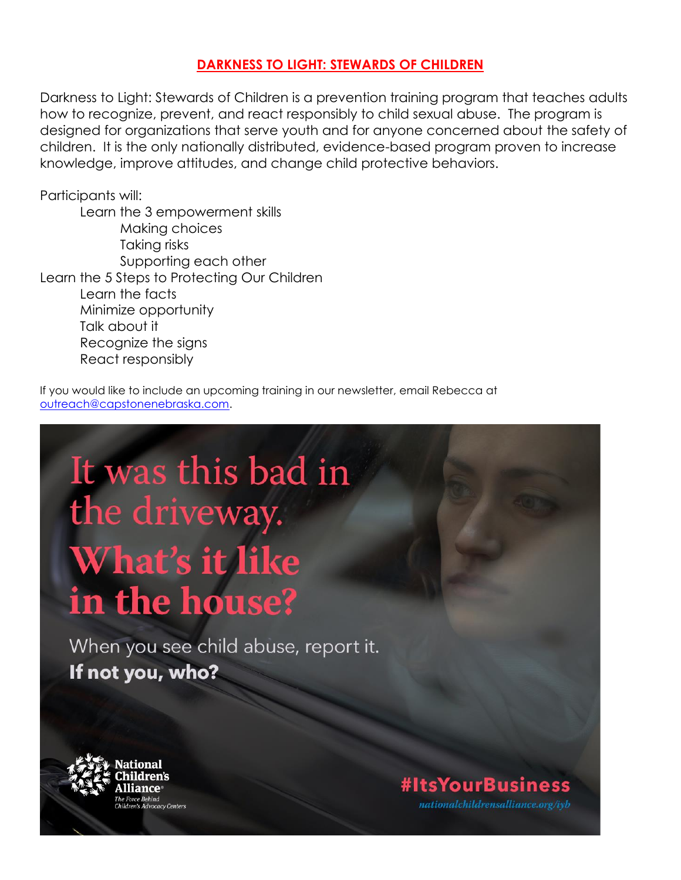#### **DARKNESS TO LIGHT: STEWARDS OF CHILDREN**

Darkness to Light: Stewards of Children is a prevention training program that teaches adults how to recognize, prevent, and react responsibly to child sexual abuse. The program is designed for organizations that serve youth and for anyone concerned about the safety of children. It is the only nationally distributed, evidence-based program proven to increase knowledge, improve attitudes, and change child protective behaviors.

Participants will:

Learn the 3 empowerment skills Making choices Taking risks Supporting each other Learn the 5 Steps to Protecting Our Children Learn the facts Minimize opportunity Talk about it Recognize the signs React responsibly

If you would like to include an upcoming training in our newsletter, email Rebecca at [outreach@capstonenebraska.com.](mailto:outreach@capstonenebraska.com)

# It was this bad in the driveway. **What's it like** in the house?

When you see child abuse, report it. If not you, who?



### **#ItsYourBusiness**

nationalchildrensalliance.org/iyb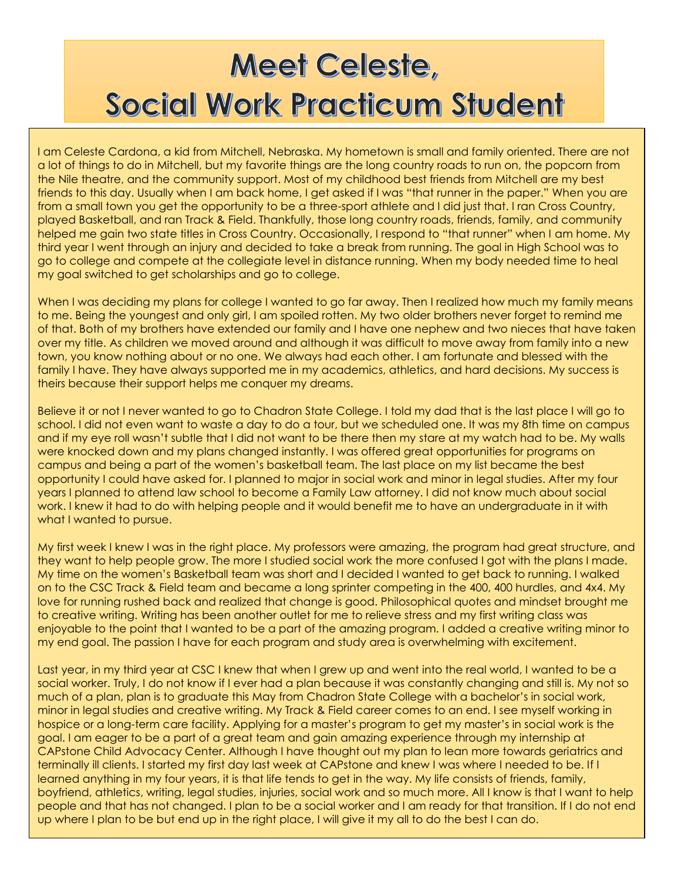## **Meet Celeste,** Social Work Practicum Student

I am Celeste Cardona, a kid from Mitchell, Nebraska. My hometown is small and family oriented. There are not a lot of things to do in Mitchell, but my favorite things are the long country roads to run on, the popcorn from the Nile theatre, and the community support. Most of my childhood best friends from Mitchell are my best friends to this day. Usually when I am back home, I get asked if I was "that runner in the paper." When you are from a small town you get the opportunity to be a three-sport athlete and I did just that. I ran Cross Country, played Basketball, and ran Track & Field. Thankfully, those long country roads, friends, family, and community helped me gain two state titles in Cross Country. Occasionally, I respond to "that runner" when I am home. My third year I went through an injury and decided to take a break from running. The goal in High School was to go to college and compete at the collegiate level in distance running. When my body needed time to heal my goal switched to get scholarships and go to college.

When I was deciding my plans for college I wanted to go far away. Then I realized how much my family means to me. Being the youngest and only girl, I am spoiled rotten. My two older brothers never forget to remind me of that. Both of my brothers have extended our family and I have one nephew and two nieces that have taken over my title. As children we moved around and although it was difficult to move away from family into a new town, you know nothing about or no one. We always had each other. I am fortunate and blessed with the family I have. They have always supported me in my academics, athletics, and hard decisions. My success is theirs because their support helps me conquer my dreams.

Believe it or not I never wanted to go to Chadron State College. I told my dad that is the last place I will go to school. I did not even want to waste a day to do a tour, but we scheduled one. It was my 8th time on campus and if my eye roll wasn't subtle that I did not want to be there then my stare at my watch had to be. My walls were knocked down and my plans changed instantly. I was offered great opportunities for programs on campus and being a part of the women's basketball team. The last place on my list became the best opportunity I could have asked for. I planned to major in social work and minor in legal studies. After my four years I planned to attend law school to become a Family Law attorney. I did not know much about social work. I knew it had to do with helping people and it would benefit me to have an undergraduate in it with what I wanted to pursue.

My first week I knew I was in the right place. My professors were amazing, the program had great structure, and they want to help people grow. The more I studied social work the more confused I got with the plans I made. My time on the women's Basketball team was short and I decided I wanted to get back to running. I walked on to the CSC Track & Field team and became a long sprinter competing in the 400, 400 hurdles, and 4x4. My love for running rushed back and realized that change is good. Philosophical quotes and mindset brought me to creative writing. Writing has been another outlet for me to relieve stress and my first writing class was enjoyable to the point that I wanted to be a part of the amazing program. I added a creative writing minor to my end goal. The passion I have for each program and study area is overwhelming with excitement.

Last year, in my third year at CSC I knew that when I grew up and went into the real world, I wanted to be a social worker. Truly, I do not know if I ever had a plan because it was constantly changing and still is. My not so much of a plan, plan is to graduate this May from Chadron State College with a bachelor's in social work, minor in legal studies and creative writing. My Track & Field career comes to an end. I see myself working in hospice or a long-term care facility. Applying for a master's program to get my master's in social work is the goal. I am eager to be a part of a great team and gain amazing experience through my internship at CAPstone Child Advocacy Center. Although I have thought out my plan to lean more towards geriatrics and terminally ill clients. I started my first day last week at CAPstone and knew I was where I needed to be. If I learned anything in my four years, it is that life tends to get in the way. My life consists of friends, family, boyfriend, athletics, writing, legal studies, injuries, social work and so much more. All I know is that I want to help people and that has not changed. I plan to be a social worker and I am ready for that transition. If I do not end up where I plan to be but end up in the right place, I will give it my all to do the best I can do.